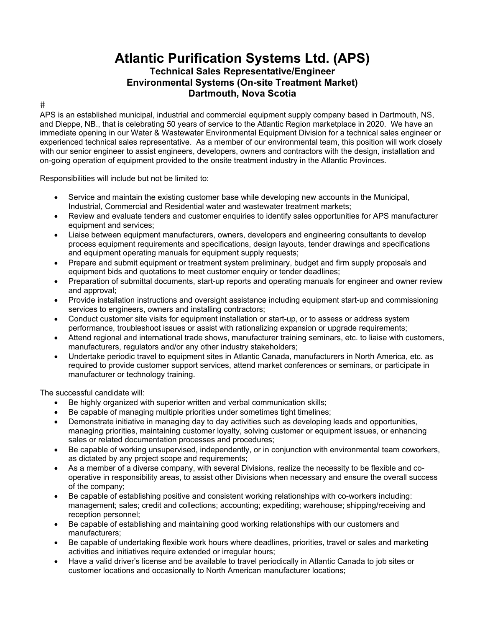# **Atlantic Purification Systems Ltd. (APS) Technical Sales Representative/Engineer Environmental Systems (On-site Treatment Market) Dartmouth, Nova Scotia**

#### $\pm$

APS is an established municipal, industrial and commercial equipment supply company based in Dartmouth, NS, and Dieppe, NB., that is celebrating 50 years of service to the Atlantic Region marketplace in 2020. We have an immediate opening in our Water & Wastewater Environmental Equipment Division for a technical sales engineer or experienced technical sales representative. As a member of our environmental team, this position will work closely with our senior engineer to assist engineers, developers, owners and contractors with the design, installation and on-going operation of equipment provided to the onsite treatment industry in the Atlantic Provinces.

Responsibilities will include but not be limited to:

- Service and maintain the existing customer base while developing new accounts in the Municipal, Industrial, Commercial and Residential water and wastewater treatment markets;
- Review and evaluate tenders and customer enquiries to identify sales opportunities for APS manufacturer equipment and services;
- Liaise between equipment manufacturers, owners, developers and engineering consultants to develop process equipment requirements and specifications, design layouts, tender drawings and specifications and equipment operating manuals for equipment supply requests;
- Prepare and submit equipment or treatment system preliminary, budget and firm supply proposals and equipment bids and quotations to meet customer enquiry or tender deadlines;
- Preparation of submittal documents, start-up reports and operating manuals for engineer and owner review and approval;
- Provide installation instructions and oversight assistance including equipment start-up and commissioning services to engineers, owners and installing contractors;
- Conduct customer site visits for equipment installation or start-up, or to assess or address system performance, troubleshoot issues or assist with rationalizing expansion or upgrade requirements;
- Attend regional and international trade shows, manufacturer training seminars, etc. to liaise with customers, manufacturers, regulators and/or any other industry stakeholders;
- Undertake periodic travel to equipment sites in Atlantic Canada, manufacturers in North America, etc. as required to provide customer support services, attend market conferences or seminars, or participate in manufacturer or technology training.

The successful candidate will:

- Be highly organized with superior written and verbal communication skills;
- Be capable of managing multiple priorities under sometimes tight timelines;
- Demonstrate initiative in managing day to day activities such as developing leads and opportunities, managing priorities, maintaining customer loyalty, solving customer or equipment issues, or enhancing sales or related documentation processes and procedures;
- Be capable of working unsupervised, independently, or in conjunction with environmental team coworkers, as dictated by any project scope and requirements;
- As a member of a diverse company, with several Divisions, realize the necessity to be flexible and cooperative in responsibility areas, to assist other Divisions when necessary and ensure the overall success of the company;
- Be capable of establishing positive and consistent working relationships with co-workers including: management; sales; credit and collections; accounting; expediting; warehouse; shipping/receiving and reception personnel;
- Be capable of establishing and maintaining good working relationships with our customers and manufacturers;
- Be capable of undertaking flexible work hours where deadlines, priorities, travel or sales and marketing activities and initiatives require extended or irregular hours;
- Have a valid driver's license and be available to travel periodically in Atlantic Canada to job sites or customer locations and occasionally to North American manufacturer locations;